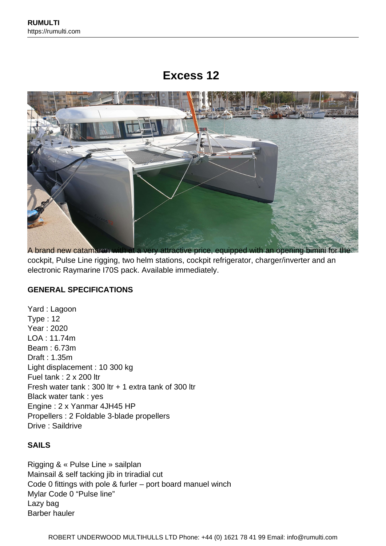# **Excess 12**



A brand new catamaran with at a very attractive price, equipped with an opening bimini for the cockpit, Pulse Line rigging, two helm stations, cockpit refrigerator, charger/inverter and an electronic Raymarine I70S pack. Available immediately.

### **GENERAL SPECIFICATIONS**

Yard : Lagoon Type : 12 Year : 2020 LOA : 11.74m Beam : 6.73m Draft : 1.35m Light displacement : 10 300 kg Fuel tank : 2 x 200 ltr Fresh water tank : 300 ltr + 1 extra tank of 300 ltr Black water tank : yes Engine : 2 x Yanmar 4JH45 HP Propellers : 2 Foldable 3-blade propellers Drive : Saildrive

## **SAILS**

Rigging & « Pulse Line » sailplan Mainsail & self tacking jib in triradial cut Code 0 fittings with pole & furler – port board manuel winch Mylar Code 0 "Pulse line" Lazy bag Barber hauler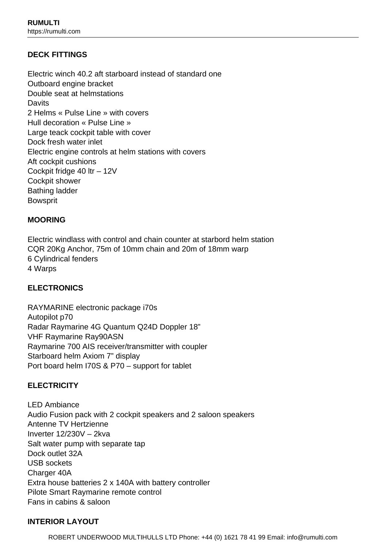# **DECK FITTINGS**

Electric winch 40.2 aft starboard instead of standard one Outboard engine bracket Double seat at helmstations **Davits** 2 Helms « Pulse Line » with covers Hull decoration « Pulse Line » Large teack cockpit table with cover Dock fresh water inlet Electric engine controls at helm stations with covers Aft cockpit cushions Cockpit fridge 40 ltr – 12V Cockpit shower Bathing ladder Bowsprit

## **MOORING**

Electric windlass with control and chain counter at starbord helm station CQR 20Kg Anchor, 75m of 10mm chain and 20m of 18mm warp 6 Cylindrical fenders 4 Warps

## **ELECTRONICS**

RAYMARINE electronic package i70s Autopilot p70 Radar Raymarine 4G Quantum Q24D Doppler 18" VHF Raymarine Ray90ASN Raymarine 700 AIS receiver/transmitter with coupler Starboard helm Axiom 7" display Port board helm I70S & P70 – support for tablet

## **ELECTRICITY**

LED Ambiance Audio Fusion pack with 2 cockpit speakers and 2 saloon speakers Antenne TV Hertzienne Inverter 12/230V – 2kva Salt water pump with separate tap Dock outlet 32A USB sockets Charger 40A Extra house batteries 2 x 140A with battery controller Pilote Smart Raymarine remote control Fans in cabins & saloon

### **INTERIOR LAYOUT**